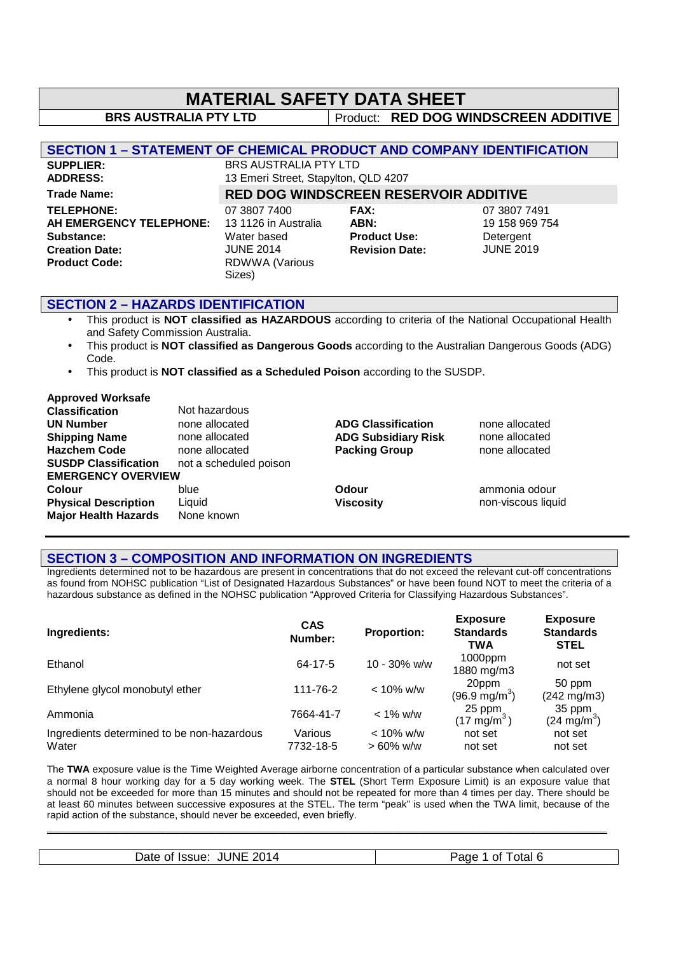# **MATERIAL SAFETY DATA SHEET BRS AUSTRALIA PTY LTD** Product: **RED DOG WINDSCREEN ADDITIVE SECTION 1 – STATEMENT OF CHEMICAL PRODUCT AND COMPANY IDENTIFICATION SUPPLIER:** BRS AUSTRALIA PTY LTD **ADDRESS:** 13 Emeri Street, Stapylton, QLD 4207 **Trade Name: RED DOG WINDSCREEN RESERVOIR ADDITIVE TELEPHONE:** 07 3807 7400 **FAX:** 07 3807 7491

**AH EMERGENCY TELEPHONE:** 13 1126 in Australia **ABN:** 19 158 969 754 **Substance:** Water based **Product Use:** Detergent **Creation Date:** JUNE 2014 **Revision Date:** JUNE 2019 **Product Code:** RDWWA (Various

Sizes)

### **SECTION 2 – HAZARDS IDENTIFICATION**

- This product is **NOT classified as HAZARDOUS** according to criteria of the National Occupational Health and Safety Commission Australia.
- This product is **NOT classified as Dangerous Goods** according to the Australian Dangerous Goods (ADG) Code.
- This product is **NOT classified as a Scheduled Poison** according to the SUSDP.

#### **Approved Worksafe**

| <b>Classification</b>       | Not hazardous          |                            |                    |
|-----------------------------|------------------------|----------------------------|--------------------|
| <b>UN Number</b>            | none allocated         | <b>ADG Classification</b>  | none allocated     |
| <b>Shipping Name</b>        | none allocated         | <b>ADG Subsidiary Risk</b> | none allocated     |
| <b>Hazchem Code</b>         | none allocated         | <b>Packing Group</b>       | none allocated     |
| <b>SUSDP Classification</b> | not a scheduled poison |                            |                    |
| <b>EMERGENCY OVERVIEW</b>   |                        |                            |                    |
| <b>Colour</b>               | blue                   | Odour                      | ammonia odour      |
| <b>Physical Description</b> | Liquid                 | <b>Viscosity</b>           | non-viscous liquid |
| <b>Major Health Hazards</b> | None known             |                            |                    |
|                             |                        |                            |                    |

### **SECTION 3 – COMPOSITION AND INFORMATION ON INGREDIENTS**

Ingredients determined not to be hazardous are present in concentrations that do not exceed the relevant cut-off concentrations as found from NOHSC publication "List of Designated Hazardous Substances" or have been found NOT to meet the criteria of a hazardous substance as defined in the NOHSC publication "Approved Criteria for Classifying Hazardous Substances".

| Ingredients:                                        | <b>CAS</b><br>Number: | <b>Proportion:</b>          | <b>Exposure</b><br><b>Standards</b><br><b>TWA</b> | <b>Exposure</b><br><b>Standards</b><br><b>STEL</b> |
|-----------------------------------------------------|-----------------------|-----------------------------|---------------------------------------------------|----------------------------------------------------|
| Ethanol                                             | 64-17-5               | $10 - 30\%$ w/w             | $1000$ ppm<br>1880 mg/m3                          | not set                                            |
| Ethylene glycol monobutyl ether                     | 111-76-2              | $< 10\%$ w/w                | 20ppm<br>$(96.9 \text{ mg/m}^3)$                  | 50 ppm<br>$(242 \text{ mg/m3})$                    |
| Ammonia                                             | 7664-41-7             | $< 1\%$ w/w                 | 25 ppm<br>$(17 \text{ mg/m}^3)$                   | 35 ppm<br>$(24 \text{ mg/m}^3)$                    |
| Ingredients determined to be non-hazardous<br>Water | Various<br>7732-18-5  | $< 10\%$ w/w<br>$>60\%$ w/w | not set<br>not set                                | not set<br>not set                                 |

The **TWA** exposure value is the Time Weighted Average airborne concentration of a particular substance when calculated over a normal 8 hour working day for a 5 day working week. The **STEL** (Short Term Exposure Limit) is an exposure value that should not be exceeded for more than 15 minutes and should not be repeated for more than 4 times per day. There should be at least 60 minutes between successive exposures at the STEL. The term "peak" is used when the TWA limit, because of the rapid action of the substance, should never be exceeded, even briefly.

| <b>JUNE</b><br>2014<br>Date<br>Issue:<br>ot. | otal 6<br>Οt<br>ade. |
|----------------------------------------------|----------------------|
|                                              |                      |

**\_\_\_\_\_\_\_\_\_\_\_\_\_\_\_\_\_\_\_\_\_\_\_\_\_\_\_\_\_\_\_\_\_\_\_\_\_\_\_\_\_\_\_\_\_\_\_\_\_\_\_\_\_\_\_\_\_\_\_\_\_\_\_\_\_\_\_\_\_\_\_\_\_\_\_\_\_\_\_\_\_\_\_\_\_\_\_\_\_\_\_\_**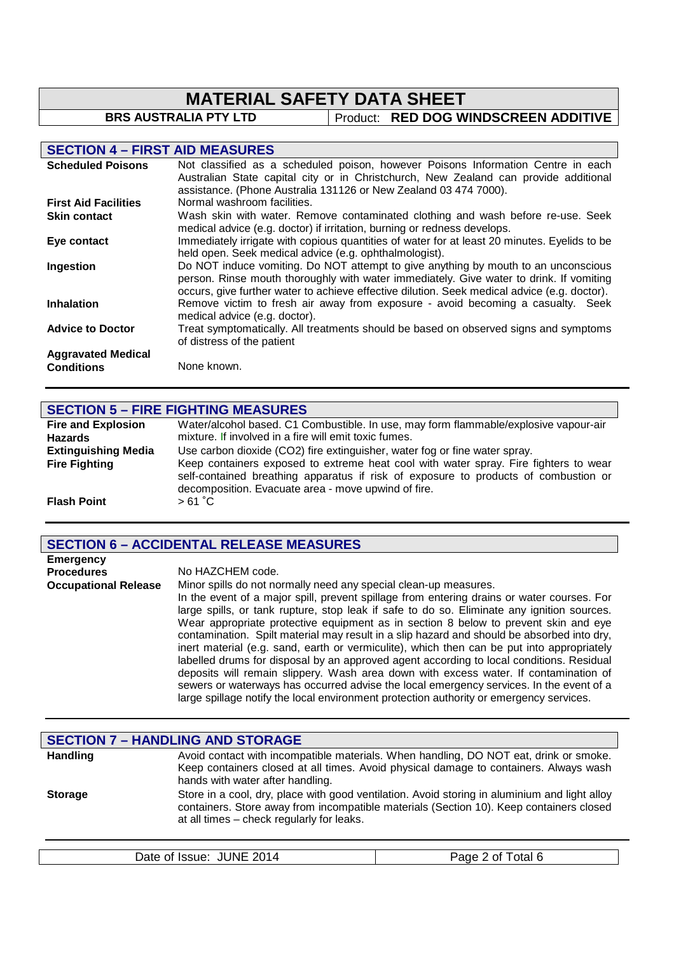# **MATERIAL SAFETY DATA SHEET**<br>BRS AUSTRALIA PTY LTD | Product: RED DOG WI

**Product: RED DOG WINDSCREEN ADDITIVE** 

## **SECTION 4 – FIRST AID MEASURES**

| <b>Scheduled Poisons</b>    | Not classified as a scheduled poison, however Poisons Information Centre in each<br>Australian State capital city or in Christchurch, New Zealand can provide additional                                                                                                      |
|-----------------------------|-------------------------------------------------------------------------------------------------------------------------------------------------------------------------------------------------------------------------------------------------------------------------------|
|                             | assistance. (Phone Australia 131126 or New Zealand 03 474 7000).                                                                                                                                                                                                              |
| <b>First Aid Facilities</b> | Normal washroom facilities.                                                                                                                                                                                                                                                   |
| <b>Skin contact</b>         | Wash skin with water. Remove contaminated clothing and wash before re-use. Seek<br>medical advice (e.g. doctor) if irritation, burning or redness develops.                                                                                                                   |
| Eye contact                 | Immediately irrigate with copious quantities of water for at least 20 minutes. Eyelids to be<br>held open. Seek medical advice (e.g. ophthalmologist).                                                                                                                        |
| Ingestion                   | Do NOT induce vomiting. Do NOT attempt to give anything by mouth to an unconscious<br>person. Rinse mouth thoroughly with water immediately. Give water to drink. If vomiting<br>occurs, give further water to achieve effective dilution. Seek medical advice (e.g. doctor). |
| <b>Inhalation</b>           | Remove victim to fresh air away from exposure - avoid becoming a casualty. Seek<br>medical advice (e.g. doctor).                                                                                                                                                              |
| <b>Advice to Doctor</b>     | Treat symptomatically. All treatments should be based on observed signs and symptoms<br>of distress of the patient                                                                                                                                                            |
| <b>Aggravated Medical</b>   |                                                                                                                                                                                                                                                                               |
| <b>Conditions</b>           | None known.                                                                                                                                                                                                                                                                   |

# **SECTION 5 – FIRE FIGHTING MEASURES**

| <b>Fire and Explosion</b>  | Water/alcohol based. C1 Combustible. In use, may form flammable/explosive vapour-air                                                                                                                                               |
|----------------------------|------------------------------------------------------------------------------------------------------------------------------------------------------------------------------------------------------------------------------------|
| <b>Hazards</b>             | mixture. If involved in a fire will emit toxic fumes.                                                                                                                                                                              |
| <b>Extinguishing Media</b> | Use carbon dioxide (CO2) fire extinguisher, water fog or fine water spray.                                                                                                                                                         |
| <b>Fire Fighting</b>       | Keep containers exposed to extreme heat cool with water spray. Fire fighters to wear<br>self-contained breathing apparatus if risk of exposure to products of combustion or<br>decomposition. Evacuate area - move upwind of fire. |
| <b>Flash Point</b>         | $>61^{\circ}$ C                                                                                                                                                                                                                    |

# **SECTION 6 – ACCIDENTAL RELEASE MEASURES**

| <b>Emergency</b>            |                                                                                                                                                                                                                                                                                                                                                                                                                                                                                                                                                                                                                                                                                                                                                                                                                                                                                                                           |
|-----------------------------|---------------------------------------------------------------------------------------------------------------------------------------------------------------------------------------------------------------------------------------------------------------------------------------------------------------------------------------------------------------------------------------------------------------------------------------------------------------------------------------------------------------------------------------------------------------------------------------------------------------------------------------------------------------------------------------------------------------------------------------------------------------------------------------------------------------------------------------------------------------------------------------------------------------------------|
| <b>Procedures</b>           | No HAZCHEM code.                                                                                                                                                                                                                                                                                                                                                                                                                                                                                                                                                                                                                                                                                                                                                                                                                                                                                                          |
| <b>Occupational Release</b> | Minor spills do not normally need any special clean-up measures.<br>In the event of a major spill, prevent spillage from entering drains or water courses. For<br>large spills, or tank rupture, stop leak if safe to do so. Eliminate any ignition sources.<br>Wear appropriate protective equipment as in section 8 below to prevent skin and eye<br>contamination. Spilt material may result in a slip hazard and should be absorbed into dry,<br>inert material (e.g. sand, earth or vermiculite), which then can be put into appropriately<br>labelled drums for disposal by an approved agent according to local conditions. Residual<br>deposits will remain slippery. Wash area down with excess water. If contamination of<br>sewers or waterways has occurred advise the local emergency services. In the event of a<br>large spillage notify the local environment protection authority or emergency services. |

|                 | <b>SECTION 7 - HANDLING AND STORAGE</b>                                                                                                                                                                                               |
|-----------------|---------------------------------------------------------------------------------------------------------------------------------------------------------------------------------------------------------------------------------------|
| <b>Handling</b> | Avoid contact with incompatible materials. When handling, DO NOT eat, drink or smoke.<br>Keep containers closed at all times. Avoid physical damage to containers. Always wash<br>hands with water after handling.                    |
| <b>Storage</b>  | Store in a cool, dry, place with good ventilation. Avoid storing in aluminium and light alloy<br>containers. Store away from incompatible materials (Section 10). Keep containers closed<br>at all times - check regularly for leaks. |

|  | <b>JUNE</b><br>2014<br>Date of Issue: | 'age<br>otal<br>0t |
|--|---------------------------------------|--------------------|
|--|---------------------------------------|--------------------|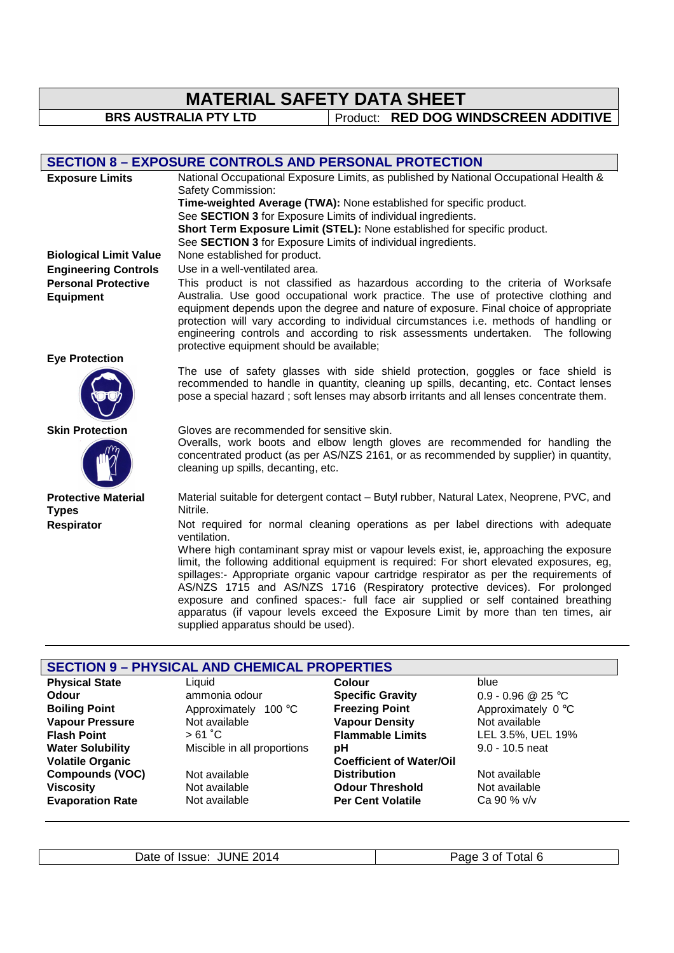# **MATERIAL SAFETY DATA SHEET**

**BRS AUSTRALIA PTY LTD** Product: **RED DOG WINDSCREEN ADDITIVE** 

### **SECTION 8 – EXPOSURE CONTROLS AND PERSONAL PROTECTION**

| <b>Exposure Limits</b>                                    | National Occupational Exposure Limits, as published by National Occupational Health &<br>Safety Commission:<br>Time-weighted Average (TWA): None established for specific product.<br>See SECTION 3 for Exposure Limits of individual ingredients.<br>Short Term Exposure Limit (STEL): None established for specific product.<br>See SECTION 3 for Exposure Limits of individual ingredients.                                                                                              |
|-----------------------------------------------------------|---------------------------------------------------------------------------------------------------------------------------------------------------------------------------------------------------------------------------------------------------------------------------------------------------------------------------------------------------------------------------------------------------------------------------------------------------------------------------------------------|
| <b>Biological Limit Value</b>                             | None established for product.<br>Use in a well-ventilated area.                                                                                                                                                                                                                                                                                                                                                                                                                             |
| <b>Engineering Controls</b><br><b>Personal Protective</b> |                                                                                                                                                                                                                                                                                                                                                                                                                                                                                             |
| <b>Equipment</b>                                          | This product is not classified as hazardous according to the criteria of Worksafe<br>Australia. Use good occupational work practice. The use of protective clothing and<br>equipment depends upon the degree and nature of exposure. Final choice of appropriate<br>protection will vary according to individual circumstances i.e. methods of handling or<br>engineering controls and according to risk assessments undertaken. The following<br>protective equipment should be available; |
| <b>Eye Protection</b>                                     |                                                                                                                                                                                                                                                                                                                                                                                                                                                                                             |
|                                                           | The use of safety glasses with side shield protection, goggles or face shield is<br>recommended to handle in quantity, cleaning up spills, decanting, etc. Contact lenses<br>pose a special hazard; soft lenses may absorb irritants and all lenses concentrate them.                                                                                                                                                                                                                       |
| <b>Skin Protection</b>                                    | Gloves are recommended for sensitive skin.<br>Overalls, work boots and elbow length gloves are recommended for handling the<br>concentrated product (as per AS/NZS 2161, or as recommended by supplier) in quantity,<br>cleaning up spills, decanting, etc.                                                                                                                                                                                                                                 |
| <b>Protective Material</b><br><b>Types</b>                | Material suitable for detergent contact - Butyl rubber, Natural Latex, Neoprene, PVC, and<br>Nitrile.                                                                                                                                                                                                                                                                                                                                                                                       |
| Respirator                                                | Not required for normal cleaning operations as per label directions with adequate<br>ventilation.<br>Where high contaminant spray mist or vapour levels exist, ie, approaching the exposure                                                                                                                                                                                                                                                                                                 |
|                                                           | limit, the following additional equipment is required: For short elevated exposures, eg,<br>spillages:- Appropriate organic vapour cartridge respirator as per the requirements of<br>AS/NZS 1715 and AS/NZS 1716 (Respiratory protective devices). For prolonged<br>exposure and confined spaces:- full face air supplied or self contained breathing<br>apparatus (if vapour levels exceed the Exposure Limit by more than ten times, air<br>supplied apparatus should be used).          |

# **SECTION 9 – PHYSICAL AND CHEMICAL PROPERTIES**

| <b>Physical State</b>   | Liquid                      | <b>Colour</b>                   | blue               |
|-------------------------|-----------------------------|---------------------------------|--------------------|
| <b>Odour</b>            | ammonia odour               | <b>Specific Gravity</b>         | 0.9 - 0.96 @ 25 °C |
| <b>Boiling Point</b>    | Approximately 100 °C        | <b>Freezing Point</b>           | Approximately 0 °C |
| <b>Vapour Pressure</b>  | Not available               | <b>Vapour Density</b>           | Not available      |
| <b>Flash Point</b>      | > 61 °C                     | <b>Flammable Limits</b>         | LEL 3.5%, UEL 19%  |
| <b>Water Solubility</b> | Miscible in all proportions | pН                              | $9.0 - 10.5$ neat  |
| <b>Volatile Organic</b> |                             | <b>Coefficient of Water/Oil</b> |                    |
| <b>Compounds (VOC)</b>  | Not available               | <b>Distribution</b>             | Not available      |
| <b>Viscosity</b>        | Not available               | <b>Odour Threshold</b>          | Not available      |
| <b>Evaporation Rate</b> | Not available               | <b>Per Cent Volatile</b>        | Ca 90 % v/v        |
|                         |                             |                                 |                    |

Date of Issue: JUNE 2014 Page 3 of Total 6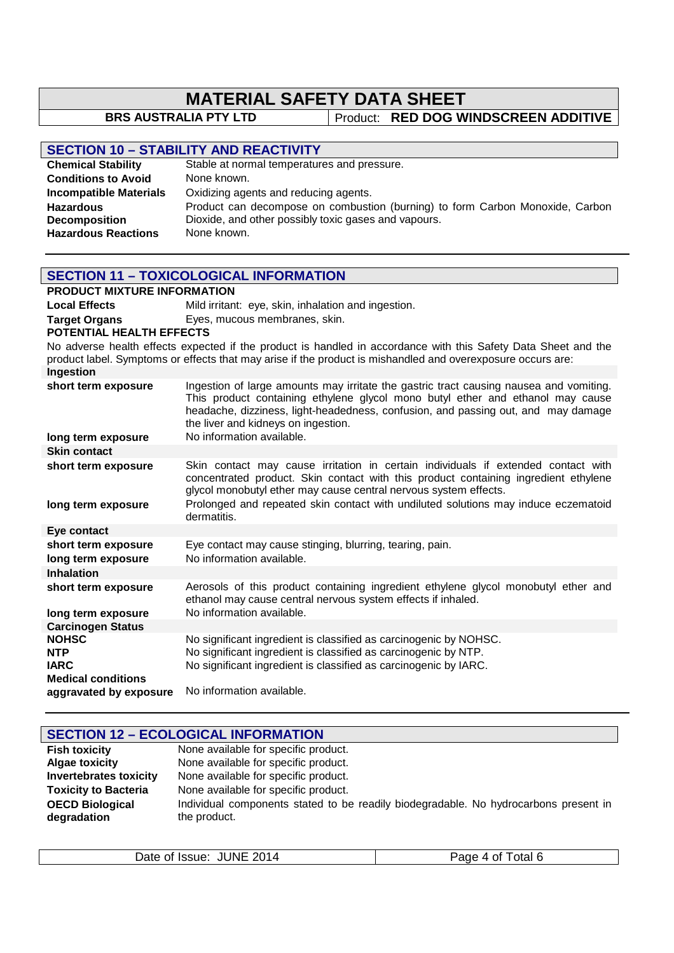# **MATERIAL SAFETY DATA SHEET**<br>BRS AUSTRALIA PTY LTD Product: RED DOG WI

**Product: RED DOG WINDSCREEN ADDITIVE** 

|                    | <b>SECTION 10 - STABILITY AND REACTIVITY</b> |
|--------------------|----------------------------------------------|
| Chamical Ctability | Stable at normal temperatures and pres       |

| <b>Chemical Stability</b>     | Stable at normal temperatures and pressure.                                   |
|-------------------------------|-------------------------------------------------------------------------------|
| <b>Conditions to Avoid</b>    | None known.                                                                   |
| <b>Incompatible Materials</b> | Oxidizing agents and reducing agents.                                         |
| <b>Hazardous</b>              | Product can decompose on combustion (burning) to form Carbon Monoxide, Carbon |
| <b>Decomposition</b>          | Dioxide, and other possibly toxic gases and vapours.                          |
| <b>Hazardous Reactions</b>    | None known.                                                                   |

| <b>SECTION 11 - TOXICOLOGICAL INFORMATION</b>                                                                                                                                                                                 |                                                                                                                                                                                                                                                                                                                                    |  |  |
|-------------------------------------------------------------------------------------------------------------------------------------------------------------------------------------------------------------------------------|------------------------------------------------------------------------------------------------------------------------------------------------------------------------------------------------------------------------------------------------------------------------------------------------------------------------------------|--|--|
| <b>PRODUCT MIXTURE INFORMATION</b>                                                                                                                                                                                            |                                                                                                                                                                                                                                                                                                                                    |  |  |
| <b>Local Effects</b>                                                                                                                                                                                                          | Mild irritant: eye, skin, inhalation and ingestion.                                                                                                                                                                                                                                                                                |  |  |
| <b>Target Organs</b>                                                                                                                                                                                                          | Eyes, mucous membranes, skin.                                                                                                                                                                                                                                                                                                      |  |  |
| POTENTIAL HEALTH EFFECTS                                                                                                                                                                                                      |                                                                                                                                                                                                                                                                                                                                    |  |  |
| No adverse health effects expected if the product is handled in accordance with this Safety Data Sheet and the<br>product label. Symptoms or effects that may arise if the product is mishandled and overexposure occurs are: |                                                                                                                                                                                                                                                                                                                                    |  |  |
| Ingestion                                                                                                                                                                                                                     |                                                                                                                                                                                                                                                                                                                                    |  |  |
| short term exposure                                                                                                                                                                                                           | Ingestion of large amounts may irritate the gastric tract causing nausea and vomiting.<br>This product containing ethylene glycol mono butyl ether and ethanol may cause<br>headache, dizziness, light-headedness, confusion, and passing out, and may damage<br>the liver and kidneys on ingestion.                               |  |  |
| long term exposure                                                                                                                                                                                                            | No information available.                                                                                                                                                                                                                                                                                                          |  |  |
| <b>Skin contact</b>                                                                                                                                                                                                           |                                                                                                                                                                                                                                                                                                                                    |  |  |
| short term exposure<br>long term exposure                                                                                                                                                                                     | Skin contact may cause irritation in certain individuals if extended contact with<br>concentrated product. Skin contact with this product containing ingredient ethylene<br>glycol monobutyl ether may cause central nervous system effects.<br>Prolonged and repeated skin contact with undiluted solutions may induce eczematoid |  |  |
|                                                                                                                                                                                                                               | dermatitis.                                                                                                                                                                                                                                                                                                                        |  |  |
| <b>Eye contact</b>                                                                                                                                                                                                            |                                                                                                                                                                                                                                                                                                                                    |  |  |
| short term exposure<br>long term exposure                                                                                                                                                                                     | Eye contact may cause stinging, blurring, tearing, pain.<br>No information available.                                                                                                                                                                                                                                              |  |  |
| <b>Inhalation</b>                                                                                                                                                                                                             |                                                                                                                                                                                                                                                                                                                                    |  |  |
| short term exposure                                                                                                                                                                                                           | Aerosols of this product containing ingredient ethylene glycol monobutyl ether and<br>ethanol may cause central nervous system effects if inhaled.                                                                                                                                                                                 |  |  |
| long term exposure                                                                                                                                                                                                            | No information available.                                                                                                                                                                                                                                                                                                          |  |  |
| <b>Carcinogen Status</b>                                                                                                                                                                                                      |                                                                                                                                                                                                                                                                                                                                    |  |  |
| <b>NOHSC</b><br><b>NTP</b><br><b>IARC</b>                                                                                                                                                                                     | No significant ingredient is classified as carcinogenic by NOHSC.<br>No significant ingredient is classified as carcinogenic by NTP.<br>No significant ingredient is classified as carcinogenic by IARC.                                                                                                                           |  |  |
| <b>Medical conditions</b><br>aggravated by exposure                                                                                                                                                                           | No information available.                                                                                                                                                                                                                                                                                                          |  |  |
|                                                                                                                                                                                                                               |                                                                                                                                                                                                                                                                                                                                    |  |  |

| <b>SECTION 12 - ECOLOGICAL INFORMATION</b> |                                                                                                      |  |
|--------------------------------------------|------------------------------------------------------------------------------------------------------|--|
| <b>Fish toxicity</b>                       | None available for specific product.                                                                 |  |
| <b>Algae toxicity</b>                      | None available for specific product.                                                                 |  |
| <b>Invertebrates toxicity</b>              | None available for specific product.                                                                 |  |
| <b>Toxicity to Bacteria</b>                | None available for specific product.                                                                 |  |
| <b>OECD Biological</b><br>degradation      | Individual components stated to be readily biodegradable. No hydrocarbons present in<br>the product. |  |

| <b>JUNE 2014</b><br>Date of Issue: | Page<br>, otal 6<br>. of<br>4 |
|------------------------------------|-------------------------------|
|------------------------------------|-------------------------------|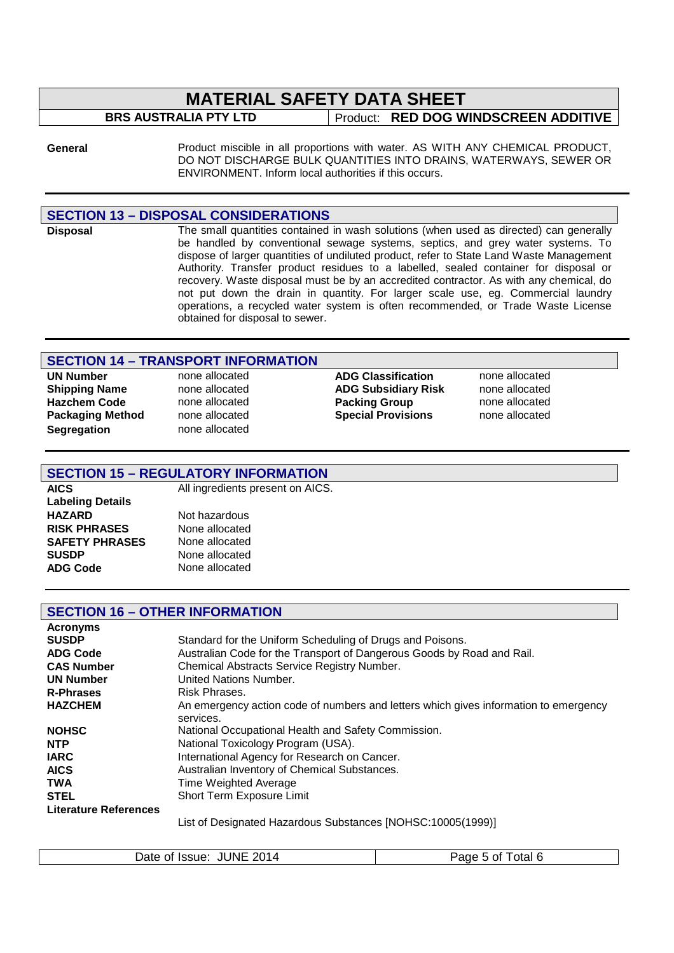# **MATERIAL SAFETY DATA SHEET**

# **BRS AUSTRALIA PTY LTD** | Product: **RED DOG WINDSCREEN ADDITIVE**

General **Example 3** Product miscible in all proportions with water. AS WITH ANY CHEMICAL PRODUCT, DO NOT DISCHARGE BULK QUANTITIES INTO DRAINS, WATERWAYS, SEWER OR ENVIRONMENT. Inform local authorities if this occurs.

### **SECTION 13 – DISPOSAL CONSIDERATIONS**

**Disposal** The small quantities contained in wash solutions (when used as directed) can generally be handled by conventional sewage systems, septics, and grey water systems. To dispose of larger quantities of undiluted product, refer to State Land Waste Management Authority. Transfer product residues to a labelled, sealed container for disposal or recovery. Waste disposal must be by an accredited contractor. As with any chemical, do not put down the drain in quantity. For larger scale use, eg. Commercial laundry operations, a recycled water system is often recommended, or Trade Waste License obtained for disposal to sewer.

### **SECTION 14 – TRANSPORT INFORMATION**

**Hazchem Code none allocated Packing Group Segregation** none allocated

**UN Number** none allocated **ADG Classification** none allocated **Shipping Name none allocated ADG Subsidiary Risk none allocated Hazchem Code none allocated Risk Hazchem Code ADG Subsidiary Risk none allocated Packaging Method** none allocated **Special Provisions** none allocated

### **SECTION 15 – REGULATORY INFORMATION**

**Labeling Details HAZARD** Not hazardous **RISK PHRASES** None allocated<br>**SAFETY PHRASES** None allocated **SAFETY PHRASES SUSDP** None allocated

**AICS** All ingredients present on AICS.

**ADG Code** None allocated

### **SECTION 16 – OTHER INFORMATION**

| <b>Acronyms</b>              |                                                                                                   |
|------------------------------|---------------------------------------------------------------------------------------------------|
| <b>SUSDP</b>                 | Standard for the Uniform Scheduling of Drugs and Poisons.                                         |
| <b>ADG Code</b>              | Australian Code for the Transport of Dangerous Goods by Road and Rail.                            |
| <b>CAS Number</b>            | Chemical Abstracts Service Registry Number.                                                       |
| <b>UN Number</b>             | United Nations Number.                                                                            |
| <b>R-Phrases</b>             | Risk Phrases.                                                                                     |
| <b>HAZCHEM</b>               | An emergency action code of numbers and letters which gives information to emergency<br>services. |
| <b>NOHSC</b>                 | National Occupational Health and Safety Commission.                                               |
| <b>NTP</b>                   | National Toxicology Program (USA).                                                                |
| <b>IARC</b>                  | International Agency for Research on Cancer.                                                      |
| <b>AICS</b>                  | Australian Inventory of Chemical Substances.                                                      |
| <b>TWA</b>                   | Time Weighted Average                                                                             |
| <b>STEL</b>                  | Short Term Exposure Limit                                                                         |
| <b>Literature References</b> |                                                                                                   |
|                              | $1!$ $(0.40007/4000)$                                                                             |

List of Designated Hazardous Substances [NOHSC:10005(1999)]

| Date of Issue: JUNE 2014 | Page 5 of Total 6 |
|--------------------------|-------------------|
|                          |                   |